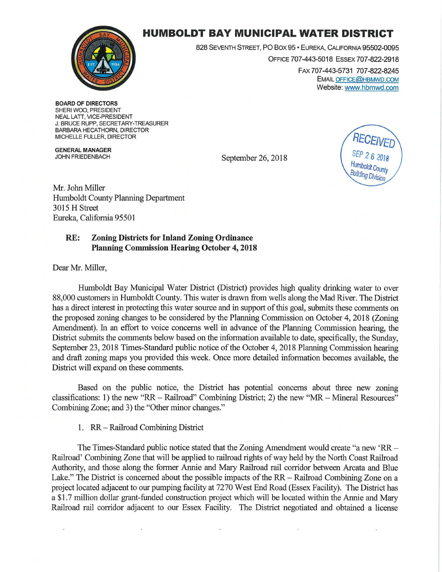

## **HUMBOLDT BAY MUNICIPAL WATER DISTRICT**

828 SEVENTH STREET, PO Box 95 • EUREKA, CALIFORNIA 95502-0095

OFFICE 707-443-5018 ESSEX 707-822-2918 FAX 707-443-5731 707-822-8245

EMAIL OFFICE@HBMWD.COM Website: www.hbmwd.com

**BOARD OF DIRECTORS**  SHERI WOO, PRESIDENT NEAL LATT, VICE-PRESIDENT J. BRUCE RUPP, SECRETARY-TREASURER BARBARA HECATHORN, DIRECTOR MICHELLE FULLER, DIRECTOR

**GENERAL MANAGER**  JOHN FRIEDENBACH

September 26, 2018



Mr. John Miller Humboldt County Planning Department 3015 **H** Street Eureka, California 95501

## **RE: Zoning Districts for Inland Zoning Ordinance Planning Commission Hearing October 4, 2018**

Dear Mr. Miller,

Humboldt Bay Municipal Water District (District) provides high quality drinking water to over 88,000 customers in Humboldt County. This water is drawn from wells along the Mad River. The District has a direct interest in protecting this water source and in support of this goal, submits these comments on the proposed zoning changes to be considered by the Planning Commission on October 4, 2018 (Zoning Amendment). In an effort to voice concerns well in advance of the Planning Commission hearing, the District submits the comments below based on the infonnation available to date, specifically, the Sunday, September 23, 2018 Times-Standard public notice of the October 4, 2018 Planning Commission hearing and draft zoning maps you provided this week. Once more detailed information becomes available, the District will expand on these comments.

Based on the public notice, the District has potential concerns about three new zoning classifications: 1) the new "RR - Railroad" Combining District; 2) the new "MR - Mineral Resources" Combining Zone; and 3) the "Other minor changes."

1. RR - Railroad Combining District

The Times-Standard public notice stated that the Zoning Amendment would create "a new 'RR-Railroad' Combining Zone that will be applied to railroad rights of way held by the North Coast Railroad Authority, and those along the former Annie and Mary Railroad rail corridor between Arcata and Blue Lake." The District is concerned about the possible impacts of the  $RR -$  Railroad Combining Zone on a project located adjacent to our pumping facility at 7270 West End Road (Essex Facility). The District has a \$1.7 million dollar grant-funded construction project which will be located within the Annie and Mary Railroad rail corridor adjacent to our Essex Facility. The District negotiated and obtained a license